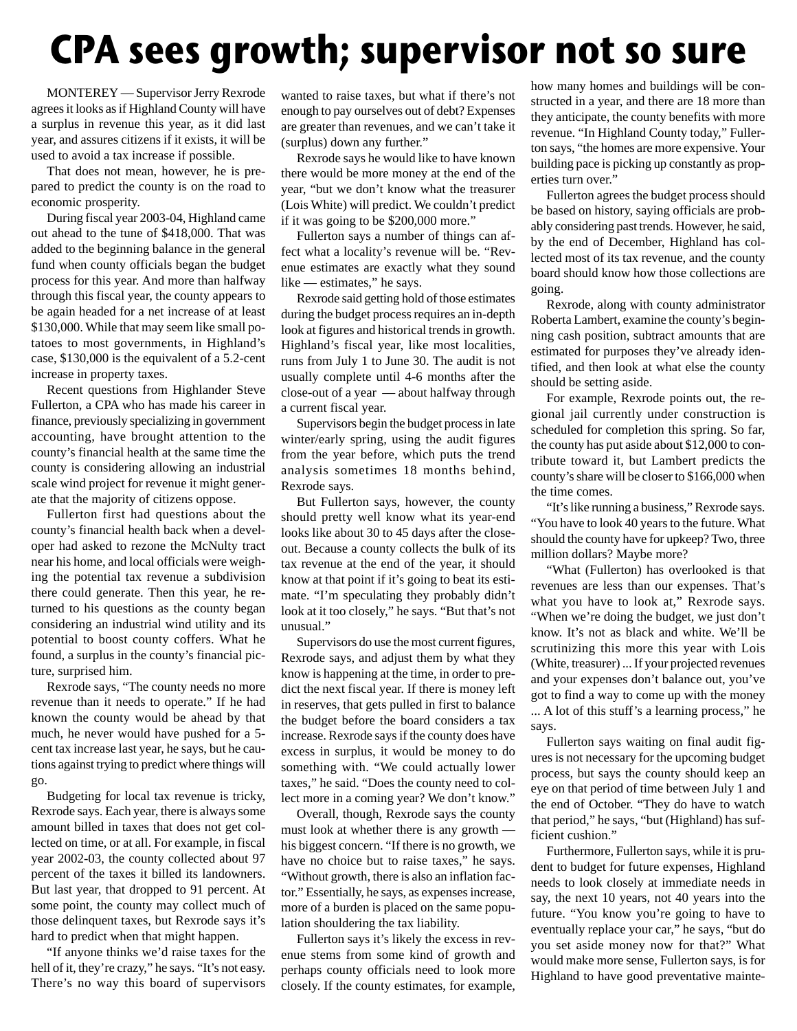## **CPA sees growth; supervisor not so sure**

MONTEREY — Supervisor Jerry Rexrode agrees it looks as if Highland County will have a surplus in revenue this year, as it did last year, and assures citizens if it exists, it will be used to avoid a tax increase if possible.

That does not mean, however, he is prepared to predict the county is on the road to economic prosperity.

During fiscal year 2003-04, Highland came out ahead to the tune of \$418,000. That was added to the beginning balance in the general fund when county officials began the budget process for this year. And more than halfway through this fiscal year, the county appears to be again headed for a net increase of at least \$130,000. While that may seem like small potatoes to most governments, in Highland's case, \$130,000 is the equivalent of a 5.2-cent increase in property taxes.

Recent questions from Highlander Steve Fullerton, a CPA who has made his career in finance, previously specializing in government accounting, have brought attention to the county's financial health at the same time the county is considering allowing an industrial scale wind project for revenue it might generate that the majority of citizens oppose.

Fullerton first had questions about the county's financial health back when a developer had asked to rezone the McNulty tract near his home, and local officials were weighing the potential tax revenue a subdivision there could generate. Then this year, he returned to his questions as the county began considering an industrial wind utility and its potential to boost county coffers. What he found, a surplus in the county's financial picture, surprised him.

Rexrode says, "The county needs no more revenue than it needs to operate." If he had known the county would be ahead by that much, he never would have pushed for a 5 cent tax increase last year, he says, but he cautions against trying to predict where things will go.

Budgeting for local tax revenue is tricky, Rexrode says. Each year, there is always some amount billed in taxes that does not get collected on time, or at all. For example, in fiscal year 2002-03, the county collected about 97 percent of the taxes it billed its landowners. But last year, that dropped to 91 percent. At some point, the county may collect much of those delinquent taxes, but Rexrode says it's hard to predict when that might happen.

"If anyone thinks we'd raise taxes for the hell of it, they're crazy," he says. "It's not easy. There's no way this board of supervisors

wanted to raise taxes, but what if there's not enough to pay ourselves out of debt? Expenses are greater than revenues, and we can't take it (surplus) down any further."

Rexrode says he would like to have known there would be more money at the end of the year, "but we don't know what the treasurer (Lois White) will predict. We couldn't predict if it was going to be \$200,000 more."

Fullerton says a number of things can affect what a locality's revenue will be. "Revenue estimates are exactly what they sound like — estimates," he says.

Rexrode said getting hold of those estimates during the budget process requires an in-depth look at figures and historical trends in growth. Highland's fiscal year, like most localities, runs from July 1 to June 30. The audit is not usually complete until 4-6 months after the close-out of a year — about halfway through a current fiscal year.

Supervisors begin the budget process in late winter/early spring, using the audit figures from the year before, which puts the trend analysis sometimes 18 months behind, Rexrode says.

But Fullerton says, however, the county should pretty well know what its year-end looks like about 30 to 45 days after the closeout. Because a county collects the bulk of its tax revenue at the end of the year, it should know at that point if it's going to beat its estimate. "I'm speculating they probably didn't look at it too closely," he says. "But that's not unusual."

Supervisors do use the most current figures, Rexrode says, and adjust them by what they know is happening at the time, in order to predict the next fiscal year. If there is money left in reserves, that gets pulled in first to balance the budget before the board considers a tax increase. Rexrode says if the county does have excess in surplus, it would be money to do something with. "We could actually lower taxes," he said. "Does the county need to collect more in a coming year? We don't know."

Overall, though, Rexrode says the county must look at whether there is any growth his biggest concern. "If there is no growth, we have no choice but to raise taxes," he says. "Without growth, there is also an inflation factor." Essentially, he says, as expenses increase, more of a burden is placed on the same population shouldering the tax liability.

Fullerton says it's likely the excess in revenue stems from some kind of growth and perhaps county officials need to look more closely. If the county estimates, for example, how many homes and buildings will be constructed in a year, and there are 18 more than they anticipate, the county benefits with more revenue. "In Highland County today," Fullerton says, "the homes are more expensive. Your building pace is picking up constantly as properties turn over."

Fullerton agrees the budget process should be based on history, saying officials are probably considering past trends. However, he said, by the end of December, Highland has collected most of its tax revenue, and the county board should know how those collections are going.

Rexrode, along with county administrator Roberta Lambert, examine the county's beginning cash position, subtract amounts that are estimated for purposes they've already identified, and then look at what else the county should be setting aside.

For example, Rexrode points out, the regional jail currently under construction is scheduled for completion this spring. So far, the county has put aside about \$12,000 to contribute toward it, but Lambert predicts the county's share will be closer to \$166,000 when the time comes.

"It's like running a business," Rexrode says. "You have to look 40 years to the future. What should the county have for upkeep? Two, three million dollars? Maybe more?

"What (Fullerton) has overlooked is that revenues are less than our expenses. That's what you have to look at," Rexrode says. "When we're doing the budget, we just don't know. It's not as black and white. We'll be scrutinizing this more this year with Lois (White, treasurer) ... If your projected revenues and your expenses don't balance out, you've got to find a way to come up with the money ... A lot of this stuff's a learning process," he says.

Fullerton says waiting on final audit figures is not necessary for the upcoming budget process, but says the county should keep an eye on that period of time between July 1 and the end of October. "They do have to watch that period," he says, "but (Highland) has sufficient cushion."

Furthermore, Fullerton says, while it is prudent to budget for future expenses, Highland needs to look closely at immediate needs in say, the next 10 years, not 40 years into the future. "You know you're going to have to eventually replace your car," he says, "but do you set aside money now for that?" What would make more sense, Fullerton says, is for Highland to have good preventative mainte-